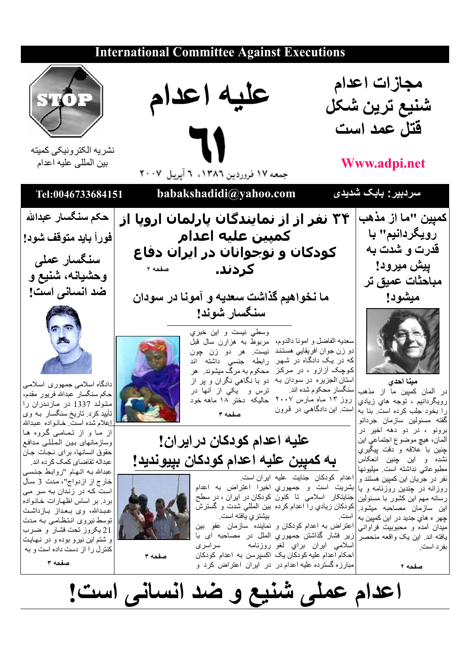## **International Committee Against Executions** مجازات اعدام عليه اعدام شنيع ترين شكل فتل عمد است نشر يه الكتر ونيكي كميته بين المللي عليه اعدام **Www.adpi.net** جمعه ١٧ فروردين ١٣٨٦، ٦ آيريل ٢٠٠٧ سردبیر : بابک شدیدی babakshadidi@yahoo.com Tel:0046733684151 حكم سنگسار عبدالله كمپين "ما از مذهب ۳۴ نفر از از نمایندگان پارلمان اروپا از رويگردانيم" با كمبين عليه اعدام فوراً بايد متوقف شود! قدرت و شدت به کودکان و نوجوانان در ایران دفاع سنگسار عملی ييش ميرود! کردند. صفحه ۴ وحشيانه، شنيع و مباحثات عميق تر ضد انسانی است! ما نخواهيم گذاشت سعديه و آمونا در سودان مبشود! سنگسار شوند! وسطى نيست و اين خبري سعديه الفاضل و امونـا دالدوم، مربوط بـه هزارن سال قبل دو زن جوان افريقايي هستند نيست. هر دو زن چون که در یک دادگـاه در شـهر رابطه جنسی داشته اند کوچک آزازو ، در مرکز ِ محکوم به مرگ میشوند. هر استان الجزیره در سودان بـه دو با نگاهی نگران و پر از مينا احدي دادگاه اسلامی جمهوری اسلامی سنگسار محکوم شده اند. ترس و يکي از أنها در در آلمان کمپین ما از مذهب حكم سنگسار عبدالله فريور مقدم، روز ۱۳ ماه مارس ۲۰۰۷ حالیکه دختر ۱۸ ماهه خود رويگردانيم ، توجه هاي زيادي متولد 1337 در مازندران را است. این دادگاهی در قرون را بخود جلب کرده است. بنا به تأييد كرد. تاريخ سنگسار بـه وي صفحه ۳ گفته مسئولین سازمان جردانو <u>ا</u>علام شده است<sub>.</sub> خـانـواده عبـدالله برونو ، در دو دهه اخیر در از ما و از تمامی گروه ها عليه اعدام كودكان درايران! ألمان، هيچ موضوع اجتماعي اين وسازمانهاى بين المللي مدافع چنین با علاقه و دقت پیگیري حقوق انسانها، براي نجات جان به كميين عليه اعدام كودكان بييونديد! نشده و این چنین انعکاس عبداله تقاضاى كمك كرده اند. مطبوعاتي نداشته است. ميليونها عبدالله بـه اتـهـام "رو ابـط جنسـى اعدام كودكان جنايت عليه ايران است. نفر در جريان اين كمپين هستند و خارج از ازدواج"، مدت 3 سال بشريت است و جمهوري اخيرا اعتراض به اعدام روزانه در چندین روزنامه و یا است که در زندان به سر می جنايتكار اسلامي تا كنون كودكان در ايران ، در سطح رسانه مهم این کشور با مسئولین برد. بر اساس اظهارات خانواده این سازمان مصـاحبه میشود ِ|کودکان زیادیِ را اعدام کرده بین المللی شدت و گسترشّ عبدالله، وی بعداز بازداشت بیشتر ی بافته است. چهر ه های جدید در این کمپین به توسط نیروی انتظامی بـه مـدت اعتراض به اعدام كودكان و نماينده سازمان عفو بين میدان آمده و محبوبیت فراوانی 21 يكروز تحت فشار و ضرب یافته اند<sub>.</sub> این یک واقعه منحصر |زیر فشار گذاشتن جمهوریِ الملّل در مصاحبه ای با و شتم این نیرو بوده و در نهایت اسلامي ايران براي لغو روزنامه سراسرى بفرد است. كنترل را از دست داده است و به |احکام اعدام علیه کودکان یک اکسپرسن به اعدام کودکان صفحه ۳ صفحه ٣ مبارزه گسترده علیه اعدام در در ایران اعتراض کرد و صفحه ٢ اعدام عملی شُنیع و ضد انسانی است!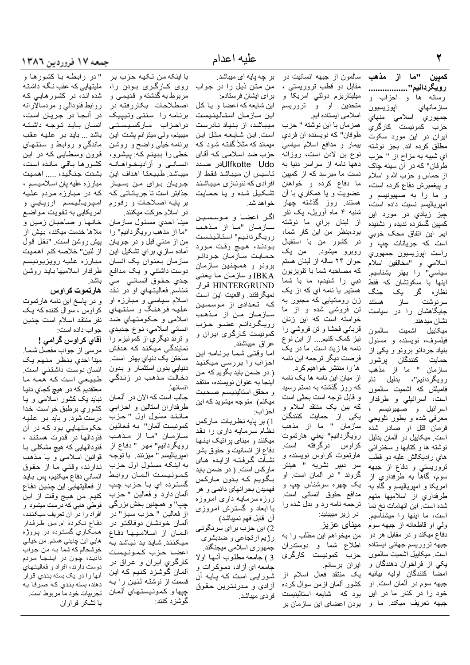كميين "ما از مذهب رويڭردانيم''.................. رسانه ها و احزاب و سازمانهاي اپوزيسيون جمهوري اسلامي منهاي حزب كمونيست كارگرى ایران در این مورد سکوت مطلق كرده اند. بجز نوشته اي شبيه به مزاح از " حزب طوفان" که در آن سینه چاک از حماس و حزب الله و اسلام و بیغمبرش دفاع کرده است، و ما را به صهيونيسم و امير ياليسم نسبت داده است، چيز زيا*دي* در مورد اين کمپین گسترده ندیده و نشنیده ايم. اين اتفاق محک خوبي است که جریانات چپ و راست اپوزيسيون جمهوري اسلامي و "مخالفين اسلام " را بهتر بشناسیم. سياسي ابنها با سکونشان که فقط نظارہ گر یک جنگ سرنوشت ساز هستند جایگاهشان را در سیاست نشان مبدهند.

ميكاييل اشميت سالمون فیلسوف، نویسنده و مسئول بنیاد جردانو برونو و یکی از حمايت كنندگان پرشور سازمان " ما از مذهب روپگردانيم"، بدليل نام فامیلش که اشمیت سالم*ون* است، اسرائيلي و طرفدار اسرائیل و صمهیونیسم ، معرفی شده و بطور تلویحی فرمانٌ قتل او صادر شده است. میکاییل در آلمان بدلیل نوشته ها و كتابها و سخنراني های رادیکالش علیه دو قطب تروريستي و دفاع از جبهه سوم، گاهأ به طرفداري از امریکا و امپریالیسم و گاه به طرفداري از اسلاميها متهم شده است. این اتهامات نخ نما است، ما اینها را میشناسیم. ولي او قاطعانه از جبهه سوم دفاع میکند و در مقابل هر دو جبهه تروريسم جهاني ايستاده است میکاییل اشمیت سالمون یکی از فراخوان دهندگان و امضا كنندگان اوليه بيانيه جبهه سوم در ألمان است. او خود را در كنار ما در اين جبهه تعريف ميكند<sub>.</sub> ما و

سالمون از جبهه انسانیت در مقابل دو قطب نروريستي ، ميليتاريزم دولتي امريكا و متحدین او و تروریسم اسلامی ایستاده ایم. همزمان با این نوشته " حزب طو فان" که نویسنده آن فر دی بیمار و مدافع اسلام سیاسی نوع بن لادن است، روزانه دهها نامه از سراسر دنیا به دست ما میرسد که از کمپین ما دفاع كرده و خواهان عضويت و يا همکاري با أن هستند. روز گذشته چهار شنبه ۴ ماه أوريل، یک نفر از لبنان براي ما نوشته بود،بنظر من این کار شما، در كشور من با استقبال روبرو میشود. من یک ۔<br>جوان ۲۴ ساله از لبنان هستم كه مصاحبه شما با تلويزيون دبی را شنیدم، ما با شما هستيم. يا نامه اي كه از يک زن رومانيايي که مجبور به تن فروشي شده و از ما خواسته است که این زنان قربانی فحشا و تن فروشی را نیز کمک کنیم.... از این نوع نامه ها زیاد است. ما در یک فرصت ديگر ترجمه اين نامه ها را منتشر خواهیم کرد. از میان این نامه ها یک نامه

که روز گذشته به دستم رسید و قابل توجه است بحثی است كه بين يك منتقد اسلام و یک*ي* از حمایت کنندگان سازَمان " ما از مذهب رويگردانيم" يعنى هارتموت كراوس درگرفته است. هارتموت كراوس نويسنده و سر دبیر نشریه " هینتر گروند " در ألمان است. او يک چهره سرشناس چپ و مدافع حقوق انساني است<sub>.</sub> ترجمه نامه رد و بدل شده را در زیر میبینید:

ميناي عزيز من میخواهم این مطلب را به اطلاع شما و دوستدران حزب كمونيست كارگر*ى* ايران برسانم. يك منتقد فعال اسلام از کشور آلمان از من سوال کر ده بود که شایعه استالینیست بودن اعضای این سازمان بر

بر چه پایه ای میباشد.

براي ايشان فرستادم: این شایعه که اعضا و یـا کـل اين سازمان استالينيست میباشد، از بنیاد نادرست است این شایعه مثل این میماند که مثلأ گفتـه شـود کـه حزب ضد اسلامی که آقای Ulfkotte Udoلار صدد تــاسيس أن ميبــاشد فقط از افر ادی که نئو نـاز ی مـیبـاشـنـد تشکیل شده و یا حمایت خواهد شد.

اگر اعضا و موسسین سازمان "ما از مذهب رويگردانيم" استالينست بودند، هيچ وقت مورد حمـايت سـازمـان جردانـو برونو و همچنین سازمان IBKA و سازمان ما يعني HINTERGRUND قرار نمیگرفتند واقعیت این است که تعدادی از موسسین سـازمـان مـن از مـذهـب رويگردانم عضو حزب کمونیست کارگری ایران و عراق ميباشند.

اما وقتى شما برنامهِ اين احزاب را بررسی میکنید ( در ضمن باید بگویم که من اينجا به عنوان نويسنده، منتقد و محقق استالينيسم صحبت میکنم) متوجه میشوید که این احز اب:

1) بر پایه نظریات مارکس نظام سرمایه داری را نقد میکنند و مبنای پراتیک اینـهـا دفاع از انسانیت و حقوق بشر نشأت گرفته ازايده هاي ماركس است. ( در ضمن بايد بگويم كه بدون ماركس فهميدن بحرانهاي دائمي و هر روزه سرمایـه داری امروزه .<br>با ابعاد و گسترش امروز*ی* آن قابل فهم نميباشد)

2) این حزب برای سرنگونی رژيم ارتجاعي و ضدبشري جمهوري اسلامي ميجنگند. 3 ) جامعه مطلوب أنها اولا جامعه ای آزاد، دموکر ات و شورایی است که پایه أن ازادي و مدرنترين حقوق فردي ميباشد.

با اينكه من تكيه حزب بر من متن نیل را در جواب روی کارگری بودن را، مربوط به گذشته و قدیمی و اصطلاحات بكاررفته در برنامه را سنتى وتيپيک دراحزاب ماركسيستى میبینم، ولم میتوانم یشت این برنامه خیلی واضع و روشن<br>خطی را ببینم که: پیشرو، انسانسي و أزاديـخـواهـانــه ميباشد طبيعتا اهداف اين جريان براي من بسيار جذابتر است تا جریاناتی که بر پایه اصلاحات و رفورم در اسلام حرکت میکنند.

مينا احدي مسئول سازمان "ما از مذهب رویگر دانیم" را من از مدتی قبل و در جریان أماده سازي براي تشكيل اين سازمان بعنوان يك انسان دوست داشتني و يک مدافع جدی حقوق انسانسی می شناسم فعاليتهاي او در نقد اسلام سياسي و مبارزه او عليه فرهنگ و سنتهاي اسلامي و حکومتهاي ضد انسانی اسلامی، نوع جدیدی و ترند ديگري از كمونيزم را أقاي كراوس گرامي ! نمايندگي ميکند که هدفش ساختن یک دنیاي بهتر است. دنیایی بدون استثمار و بدون دخالت مذهب در زندگی

انسانها. جالب است كه الان در آلمـان طرفداران استالين و احزابـي مانند مسًول اول "حزب كمونيست ألمان" بـه فـعـالـين سازمان "ما از مذهب رويگردانيم" مهر " دفاع از امپرياليسم " ميزنند. با توجه به اینکه مسئول اول حزب كمونيست ألمان روابط گسترده ای با حزب چپ ألمان دارد و فعالين " حزب چڀ" و همچنين بخش بزرگي از فعالین " حزب سبز" در آلمان خودشان دوفاكتو در آلمان از اسلامیها دفاع میکنند. شاید بد نباشد به اعضا حزب كمونيست کارگر*ي* ايران و عراق در آلمان گوشزد کنیم که این قسمت از نوشته لنین را به چپها و كمونيستهاي ألمان گو شز د کنند:

" در رابطه با کشورها و ملیتهایی که عقب نگه داشته شده اند، در کشورهایی که روابط فئودالي و مردسالارانه در آنجا در جریان است، انسان بايد توجه داشته باشد ... باید بر علیه عقب ماندگی و روابط و سنتهاي قرون وسطايـي كـه در ايـن كشورها باقىي مانده است، بشدت جنگید، ..... اهمیت مبارزه عليه يان اسلاميسم ، كه در مبارزه مردم عليه امپرياليسم اروپايي و امريكايي به تقويت مواضع خانها و صاحبان زمین و ملاها خدمت میکند، بیش از بِيش روشن است. "نقل قول از لنين" خلاصه كنم اهميت مبارزه عليه رويزيونيسم طرفدار اسلاميها بـايـد روشن باشد.

## هارتموت كراوس

و در پاسخ این نامه هارتموت کراوس ، سوال کننده که یک نفر منتقد اسلام است جنين

جواب داده است: مرسى از جواب مفصل شما. مینا احدی بنظر منهم یک انسان دوست داشتنسي است. طبیعی است که همه ما معتقديم كه در هيچ كجاي دنيا نباید یک کشور اسلامی و یا كشوري برطبق خواست خدا درست شود. و باید بر علیه حکومتهایی بود که در آن فئودالها در قدرت هستند ، فئودالهایی که هیچ مشکلی با قوانين اسلامي و يا مذهب ندارند، وقتى ما از حقوق انساني دفاع ميكنيم، پس بايد از فعالیتهایی این چنین دفاع كنيم من هيج وقت از اين قوطی هایی که درست میشود و افراد را در آن تعریف میکنند، دفاع نكرده ام من طرفدار همکاري گسترده در پروژه

هايي اين چنيني هستم. من خيلي خوشحالم كه شما بـه من جواب داديد، چون در اينجا مردم دوست دارند، افراد و فعالیتهاي آنها را در يک بسته بند*ي* قرار دهند، بسته بندي كه صرفا به تجرييات خود ما مربوط است.

با تشكر فراوان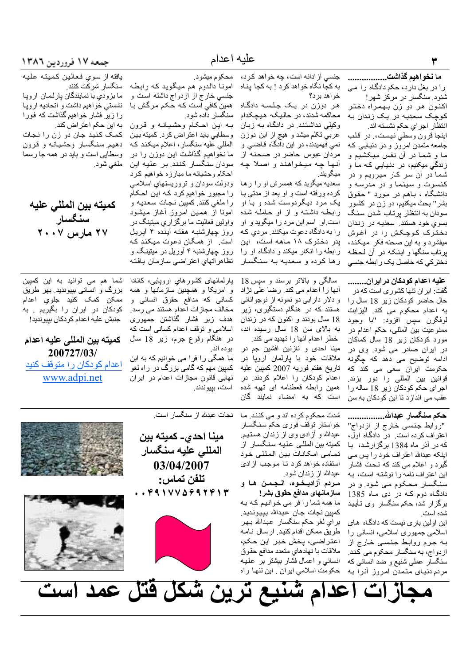ما نخواهيم گذاشت.................. جنسی آز ادانه است، چه خواهد کرد، محکوم میشود. به كجا نگاه خواهد كرد ! به كجا پناه را در بغل دارد، حکم دادگاه را می خواهد برد؟ شنود. سنگسار در مرکز شهر! هر دوزن در یک جلسه دادگاه

ميگويند.

اکنون هر دو زن بهمراه دختر محاکمه شدند، در حالیکه هیچکدام کوچک سعدیه در یک زندان به وکیلی نداشتند. در دادگاه به زبان انتظار اجراي حكم نشسته اند. عرببی تکلم میشد و هیچ از این دوزن

اينجا قرون وسطى نيست، در قلب جامعه متمدن امروز و در دنیایی که ما و شما در أن نفس ميكشيم و زندگی میکنیم، در دنیایی که ما و شما در آن سر کار میرویم و در كنسرت و سينما و در مدرسه و دانشگاه ، بـاهم در مـورد " حـقوق بشر" بحث میکنیم، دو زن در کشور سودان به انتظار پرتاب شدن سنگ بسوی خود هستند. سعدیه در زندان دخترک کوچکش را در آغوش میفشرد و به این صحنه فکر میکند، پرتاب سنگها و اینکه در آن لحظه دختر کی که حاصل یک رابطه جنسی

عليه اعدام كودكان درايران........ گفت: ایر ان تنها کشوری است که در حال حاضر كودكان زير 18 سال را به اعدام محکوم می کند. الیزابت لوفگرن سپس افزود: "با وجود ممنوعيت بين المللي، حكم اعدام در مورد كودكان زير 18 سال كماكان در ایران صادر می شود. وی در ادامه توضیح می دهد که چگونه حکومت ایران سعی می کند که قوانين بين المللي را دور بزند. اجرای حکم کودکان زیر 18 ساله را عقب می انداز د تا این کودکان به سن

یک مرد دیگردوست شده و با او رابطه داشته و از او حامله شده است او اسم این مرد را میگوید و او ر ا به دادگاه دعوت میکنند. مر دی که پدر دخترک ۱۸ ماهه است، این رابطه را انکار میکند و دادگما او را رها كرده و سعديه به سنگسار

خطر اعدام آنها را تهدید می کند.

ملاقات خود با بارلمان ارويا در

تاريخ هفتم فوريه 2007 كمبين عليه

اعدام کودکان را اعلام کردند. در

همین رابطه قعطنامه ای تهیه شده

است كه به امضاء نمايند گان

نمی فهمیدند، در این دادگاه قاضبی و

مردان عبوس حاضر در صحنه از

أنها چه ميخواهند و اصلا چه

سعدیه میگوید که همسرش او را رها

كرده ورفته است و او بعد از مدتي بـا

امونا دالدوم هم میگوید که رابطه جنسی خارج از ازدواج داشته است و همین کافی است که حکم مرگش با

سنگسار داده شود. بـه اين احـكـام وحشـيـانـه و قرون وسطایی باید اعتر اض کر د. کمیته بین المللی علیه سنگسار ، اعلام میکند که ما نخواهیم گذاشت این دوزن را در سودان سنگسار کنند بر علیه این احکام وحشیانه ما مبارزه خواهیم کرد ودولت سودان و تروریستهای اسلامی را مجبور خواهیم کرد که این احکام را ملغي كنند. كمپين نجات سعديـه و امونا از همین امروز أغاز میشود و اولین فعالیت ما بر گز ار ی میتینگ در ر وز جهار شنبه هفته آینده ۴ آیریل است. از همگان دعوت میکند که روز چهارشنبه ۴ أوريل در ميتينگ و تظاهراتهاي اعتراضى سازمان يافته

يافته از سوى فعالين كميته عليه سنگسار شر کت کنند.

ما بزودي با نمايندگان پارلمـان اروپـا نشستي خواهيم داشت و اتحاديه اروپـا را زیر فشار خواهیم گذاشت که فورا به این حکم اعتر اض کند. کمک کنید جان دو زن را نجات دهيم سنگسار وحشيانـه و قرون وسطايي است و بايد در همه جا رسما ملغي شود.

كميته بين المللي عليه سنگسار ۲۰ مارس ۲۰۰۷

> سالگی و بالاتر برسند و سپس 18 پارلمانهای کشورهای اروپایی، کانادا و امریکا و همچنین سازمانها و همه آنها را اعدام می کند. رضا علی نژاد و دلار دارابي دو نمونه از نوجواناني كساني كه مدافع حقوق انساني و هستند که در هنگام دستگیری، زیر مخالف مجازات اعدام هستند می رسد. هدف زیر فشار گذاشتن جمهوری 18 سال بودند و اکنون که در زندان اسلامی و توقف اعدام کسانی است که به بالای سن 18 سال رسیده اند، در هنگام وقوع جرم، زیر 18 سال بوده اند. مينا احدي و نازنين افشين جم در

ما همگی را فرا می خوانیم که به این کمپین مهم که گامی بزرگ در راه لغو نهایی قانون مجازات اعدام در ایران است، بپیوندند.

شما هم می توانید به این کمپین بزرگ و انسانی بپیوندید. بهر طریق ممک*ن* کمک کنید جلویِ اعدام کودکان در ایران را بگیریم . به جنبش عليه اعدام كو دكان بييو نديد!

كميته بين المللي عليه اعدام 200727/03/ اعدام كودكان را متوقف كنيد www.adpi.net

هكم سنگسار عبدالله.................

"روابط جنسی خارج از ازدواج" اعتراف كرده است. در دادگاه اول، كه در آذر ماه 1384 برگز ارشد، با اینکه عبدالله اعتراف خود را پس می گیر د و اعلام می کند که تحت فشار این اعتراف نامه را نوشته است، به سنگسار محکوم می شود. و در دادگاه دوم کـه در دی ماه 1385 برگزار شد، حکم سنگسار وی تـأيـيد شده است

این اولین باری نیست که دادگاه های اسلامی جمهوری اسلامی، انسانی را به جرم روابط جنسی خارج از از دو اج، به سنگسار محکوم می کند. سنگسار عملی شنیع و ضد انسانی که مردم دنیای متمدن امروز أنرا به

شدت محکوم کرده اند و می کنند. ما پنجات عبدلله از سنگسار است. خواستار توقف فوري حكم سنگسار عبدالله و أزادى وى از زندان هستيم. كميته بين المللي عليه سنگسار از تمامي امكانات بين المللي خود استفاده خواهد كرد تـا مـوجب أزادى عبدالله از زندان شود.

مردم آزاديخوه، انجمن ها و سازمانهاى مدافع حقوق بشر ! ما همه شما را فر می خوانیم که به

كمپين نجات جان عبدالله بپيونديد. براي لغو حكم سنگسار عبدالله بهر طريق ممكن اقدام كنيد. ارسال نامه اعتراضي، پخش خبر اين حكم، ملاقات با نهادهاي متعدد مدافع حقوق انسانی و اعمال فشار بیشتر بر علیه حکومت اسلامی ایران . این تنها راه

مينا احدى۔ كميته بين المللى عليه سنگسار 03/04/2007 تلفن تماس:  $. . . . .$ 





مجازات اعدام شنيع ترين شكل فتل عمد است